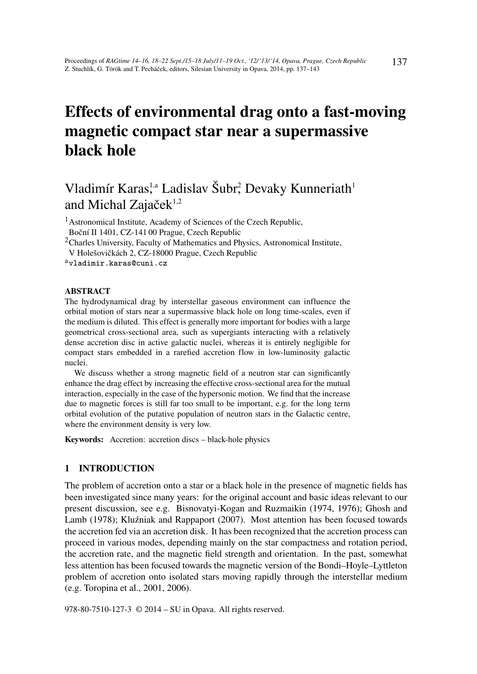# Effects of environmental drag onto a fast-moving magnetic compact star near a supermassive black hole

# Vladimír Karas,<sup>1,a</sup> Ladislav Šubr, Devaky Kunneriath<sup>1</sup> and Michal Zajače $k^{1,2}$

<sup>1</sup> Astronomical Institute, Academy of Sciences of the Czech Republic, Boční II 1401, CZ-141 00 Prague, Czech Republic

<sup>2</sup>Charles University, Faculty of Mathematics and Physics, Astronomical Institute, V Holešovičkách 2, CZ-18000 Prague, Czech Republic

<sup>a</sup>vladimir.karas@cuni.cz

### ABSTRACT

The hydrodynamical drag by interstellar gaseous environment can influence the orbital motion of stars near a supermassive black hole on long time-scales, even if the medium is diluted. This effect is generally more important for bodies with a large geometrical cross-sectional area, such as supergiants interacting with a relatively dense accretion disc in active galactic nuclei, whereas it is entirely negligible for compact stars embedded in a rarefied accretion flow in low-luminosity galactic nuclei.

We discuss whether a strong magnetic field of a neutron star can significantly enhance the drag effect by increasing the effective cross-sectional area for the mutual interaction, especially in the case of the hypersonic motion. We find that the increase due to magnetic forces is still far too small to be important, e.g. for the long term orbital evolution of the putative population of neutron stars in the Galactic centre, where the environment density is very low.

Keywords: Accretion: accretion discs – black-hole physics

# 1 INTRODUCTION

The problem of accretion onto a star or a black hole in the presence of magnetic fields has been investigated since many years: for the original account and basic ideas relevant to our present discussion, see e.g. Bisnovatyi-Kogan and Ruzmaikin (1974, 1976); Ghosh and Lamb (1978); Kluzniak and Rappaport (2007). Most attention has been focused towards the accretion fed via an accretion disk. It has been recognized that the accretion process can proceed in various modes, depending mainly on the star compactness and rotation period, the accretion rate, and the magnetic field strength and orientation. In the past, somewhat less attention has been focused towards the magnetic version of the Bondi–Hoyle–Lyttleton problem of accretion onto isolated stars moving rapidly through the interstellar medium (e.g. Toropina et al., 2001, 2006).

978-80-7510-127-3 © 2014 – SU in Opava. All rights reserved.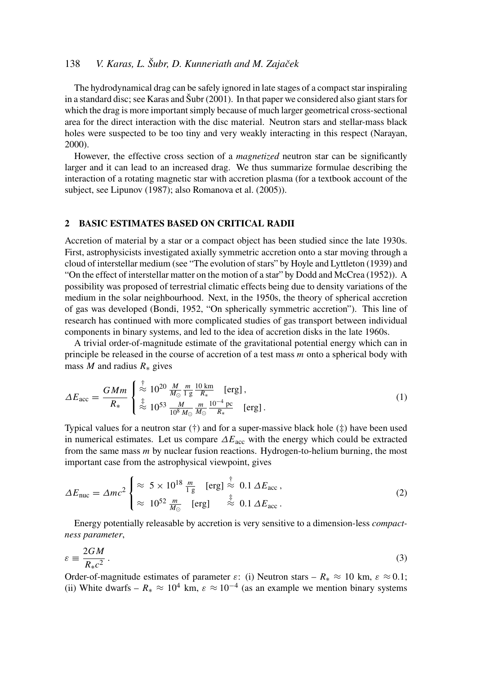# 138 *V. Karas, L. Šubr, D. Kunneriath and M. Zajaček*

The hydrodynamical drag can be safely ignored in late stages of a compact star inspiraling in a standard disc; see Karas and Šubr (2001). In that paper we considered also giant stars for which the drag is more important simply because of much larger geometrical cross-sectional area for the direct interaction with the disc material. Neutron stars and stellar-mass black holes were suspected to be too tiny and very weakly interacting in this respect (Narayan, 2000).

However, the effective cross section of a *magnetized* neutron star can be significantly larger and it can lead to an increased drag. We thus summarize formulae describing the interaction of a rotating magnetic star with accretion plasma (for a textbook account of the subject, see Lipunov (1987); also Romanova et al. (2005)).

#### 2 BASIC ESTIMATES BASED ON CRITICAL RADII

Accretion of material by a star or a compact object has been studied since the late 1930s. First, astrophysicists investigated axially symmetric accretion onto a star moving through a cloud of interstellar medium (see "The evolution of stars" by Hoyle and Lyttleton (1939) and "On the effect of interstellar matter on the motion of a star" by Dodd and McCrea (1952)). A possibility was proposed of terrestrial climatic effects being due to density variations of the medium in the solar neighbourhood. Next, in the 1950s, the theory of spherical accretion of gas was developed (Bondi, 1952, "On spherically symmetric accretion"). This line of research has continued with more complicated studies of gas transport between individual components in binary systems, and led to the idea of accretion disks in the late 1960s.

A trivial order-of-magnitude estimate of the gravitational potential energy which can in principle be released in the course of accretion of a test mass *m* onto a spherical body with mass *M* and radius  $R_*$  gives

$$
\Delta E_{\rm acc} = \frac{GMm}{R_*} \begin{cases} \frac{1}{\infty} \frac{10^{20} \frac{M}{M_{\odot}} \frac{m}{1 \text{ g}} \frac{10 \text{ km}}{R_*} \quad \text{[erg]} \,,\\ \frac{1}{\infty} \frac{10^{53} \frac{M}{10^8 M_{\odot}} \frac{m}{M_{\odot}} \frac{10^{-4} \text{ pc}}{R_*} \quad \text{[erg]} \,. \end{cases} \tag{1}
$$

Typical values for a neutron star  $(†)$  and for a super-massive black hole  $(†)$  have been used in numerical estimates. Let us compare ∆*E*acc with the energy which could be extracted from the same mass *m* by nuclear fusion reactions. Hydrogen-to-helium burning, the most important case from the astrophysical viewpoint, gives

$$
\Delta E_{\text{nuc}} = \Delta mc^2 \begin{cases} \approx 5 \times 10^{18} \frac{m}{1 \text{ g}} & \text{[erg]} \stackrel{\dagger}{\approx} 0.1 \, \Delta E_{\text{acc}} \,, \\ \approx 10^{52} \frac{m}{M_{\odot}} & \text{[erg]} \quad \stackrel{\ddagger}{\approx} 0.1 \, \Delta E_{\text{acc}} \,. \end{cases} \tag{2}
$$

Energy potentially releasable by accretion is very sensitive to a dimension-less *compactness parameter*,

$$
\varepsilon \equiv \frac{2GM}{R_{\ast}c^2} \,. \tag{3}
$$

Order-of-magnitude estimates of parameter  $\varepsilon$ : (i) Neutron stars –  $R_* \approx 10$  km,  $\varepsilon \approx 0.1$ ; (ii) White dwarfs –  $R_* \approx 10^4$  km,  $\varepsilon \approx 10^{-4}$  (as an example we mention binary systems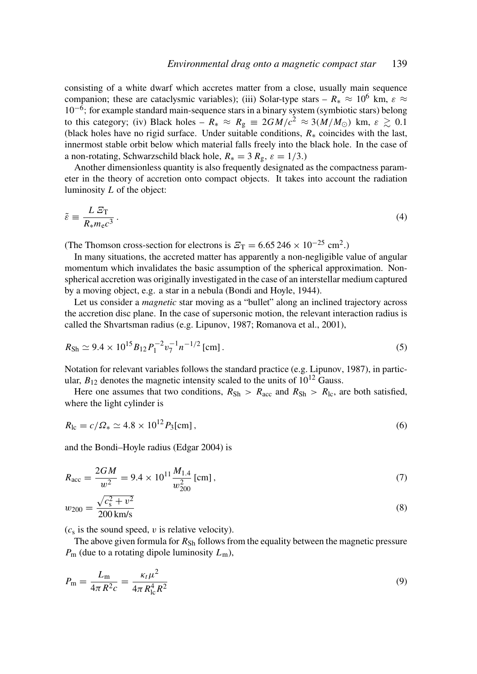consisting of a white dwarf which accretes matter from a close, usually main sequence companion; these are cataclysmic variables); (iii) Solar-type stars –  $R_* \approx 10^6$  km,  $\varepsilon \approx$  $10^{-6}$ ; for example standard main-sequence stars in a binary system (symbiotic stars) belong to this category; (iv) Black holes –  $R_* \approx R_g \equiv 2GM/c^2 \approx 3(M/M_{\odot})$  km,  $\varepsilon \gtrsim 0.1$ (black holes have no rigid surface. Under suitable conditions, *R*∗ coincides with the last, innermost stable orbit below which material falls freely into the black hole. In the case of a non-rotating, Schwarzschild black hole,  $R_* = 3 R_g$ ,  $\varepsilon = 1/3$ .)

Another dimensionless quantity is also frequently designated as the compactness parameter in the theory of accretion onto compact objects. It takes into account the radiation luminosity *L* of the object:

$$
\tilde{\varepsilon} \equiv \frac{L \, \mathcal{E}_{\rm T}}{R_{\ast} m_{\rm e} c^3} \,. \tag{4}
$$

(The Thomson cross-section for electrons is  $\mathcal{E}_{\rm T} = 6.65\,246 \times 10^{-25} \text{ cm}^2$ .)

In many situations, the accreted matter has apparently a non-negligible value of angular momentum which invalidates the basic assumption of the spherical approximation. Nonspherical accretion was originally investigated in the case of an interstellar medium captured by a moving object, e.g. a star in a nebula (Bondi and Hoyle, 1944).

Let us consider a *magnetic* star moving as a "bullet" along an inclined trajectory across the accretion disc plane. In the case of supersonic motion, the relevant interaction radius is called the Shvartsman radius (e.g. Lipunov, 1987; Romanova et al., 2001),

$$
R_{\rm Sh} \simeq 9.4 \times 10^{15} B_{12} P_1^{-2} v_7^{-1} n^{-1/2} \,\text{[cm]} \,. \tag{5}
$$

Notation for relevant variables follows the standard practice (e.g. Lipunov, 1987), in particular,  $B_{12}$  denotes the magnetic intensity scaled to the units of  $10^{12}$  Gauss.

Here one assumes that two conditions,  $R_{\rm Sh} > R_{\rm acc}$  and  $R_{\rm Sh} > R_{\rm lc}$ , are both satisfied, where the light cylinder is

$$
R_{\rm lc} = c/\Omega_* \simeq 4.8 \times 10^{12} P_3 \text{[cm]},
$$
\n(6)

and the Bondi–Hoyle radius (Edgar 2004) is

$$
R_{\rm acc} = \frac{2GM}{w^2} = 9.4 \times 10^{11} \frac{M_{1.4}}{w_{200}^2} \,\text{[cm]},\tag{7}
$$

$$
w_{200} = \frac{\sqrt{c_s^2 + v^2}}{200 \text{ km/s}}\tag{8}
$$

 $(c<sub>s</sub>$  is the sound speed,  $v$  is relative velocity).

The above given formula for  $R_{\rm Sh}$  follows from the equality between the magnetic pressure *P*<sup>m</sup> (due to a rotating dipole luminosity *L*m),

$$
P_{\rm m} = \frac{L_{\rm m}}{4\pi R^2 c} = \frac{\kappa_t \mu^2}{4\pi R_{\rm lc}^4 R^2}
$$
(9)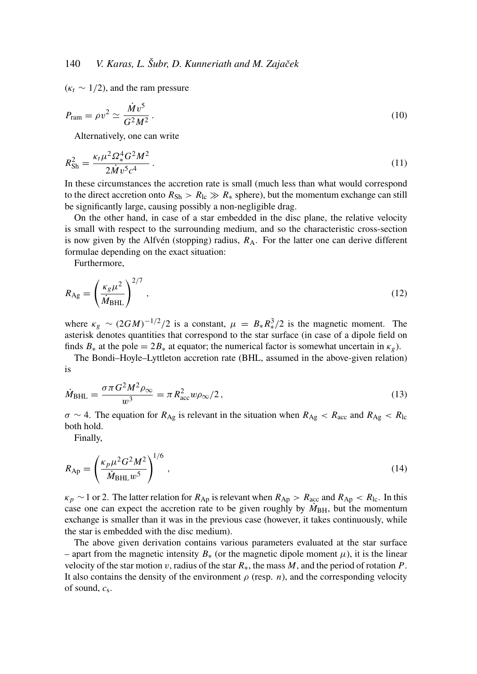$(\kappa_t \sim 1/2)$ , and the ram pressure

$$
P_{\text{ram}} = \rho v^2 \simeq \frac{\dot{M}v^5}{G^2M^2} \,. \tag{10}
$$

Alternatively, one can write

$$
R_{\rm Sh}^2 = \frac{\kappa_t \mu^2 \Omega_*^4 G^2 M^2}{2 \dot{M} v^5 c^4} \,. \tag{11}
$$

In these circumstances the accretion rate is small (much less than what would correspond to the direct accretion onto  $R_{\text{Sh}} > R_{\text{lc}} \gg R_*$  sphere), but the momentum exchange can still be significantly large, causing possibly a non-negligible drag.

On the other hand, in case of a star embedded in the disc plane, the relative velocity is small with respect to the surrounding medium, and so the characteristic cross-section is now given by the Alfvén (stopping) radius,  $R_A$ . For the latter one can derive different formulae depending on the exact situation:

Furthermore,

$$
R_{\rm Ag} = \left(\frac{\kappa_{g}\mu^{2}}{\dot{M}_{\rm BHL}}\right)^{2/7},\tag{12}
$$

where  $\kappa_g \sim (2GM)^{-1/2}/2$  is a constant,  $\mu = B_* R_*^3/2$  is the magnetic moment. The asterisk denotes quantities that correspond to the star surface (in case of a dipole field on finds  $B_*$  at the pole =  $2B_*$  at equator; the numerical factor is somewhat uncertain in  $\kappa_g$ ).

The Bondi–Hoyle–Lyttleton accretion rate (BHL, assumed in the above-given relation) is

$$
\dot{M}_{\text{BHL}} = \frac{\sigma \pi G^2 M^2 \rho_{\infty}}{w^3} = \pi R_{\text{acc}}^2 w \rho_{\infty} / 2, \qquad (13)
$$

 $\sigma \sim 4$ . The equation for  $R_{\text{Ag}}$  is relevant in the situation when  $R_{\text{Ag}} < R_{\text{acc}}$  and  $R_{\text{Ag}} < R_{\text{lc}}$ both hold.

Finally,

$$
R_{\rm Ap} = \left(\frac{\kappa_p \mu^2 G^2 M^2}{\dot{M}_{\rm BHL} w^5}\right)^{1/6},\tag{14}
$$

 $\kappa_p \sim 1$  or 2. The latter relation for  $R_{Ap}$  is relevant when  $R_{Ap} > R_{acc}$  and  $R_{Ap} < R_{lc}$ . In this case one can expect the accretion rate to be given roughly by  $M_{\rm BH}$ , but the momentum exchange is smaller than it was in the previous case (however, it takes continuously, while the star is embedded with the disc medium).

The above given derivation contains various parameters evaluated at the star surface – apart from the magnetic intensity  $B_*$  (or the magnetic dipole moment  $\mu$ ), it is the linear velocity of the star motion v, radius of the star  $R_{*}$ , the mass  $M$ , and the period of rotation  $P$ . It also contains the density of the environment  $\rho$  (resp. *n*), and the corresponding velocity of sound, *c*<sup>s</sup> .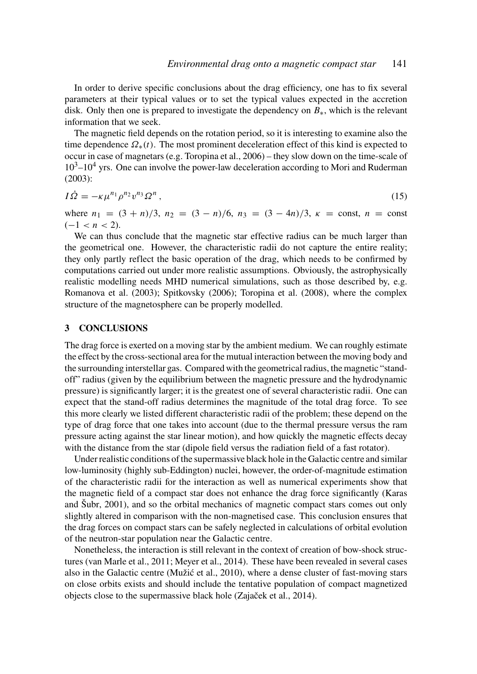In order to derive specific conclusions about the drag efficiency, one has to fix several parameters at their typical values or to set the typical values expected in the accretion disk. Only then one is prepared to investigate the dependency on *B*∗, which is the relevant information that we seek.

The magnetic field depends on the rotation period, so it is interesting to examine also the time dependence  $\Omega_*(t)$ . The most prominent deceleration effect of this kind is expected to occur in case of magnetars (e.g. Toropina et al., 2006) – they slow down on the time-scale of  $10<sup>3</sup>$ – $10<sup>4</sup>$  yrs. One can involve the power-law deceleration according to Mori and Ruderman (2003):

$$
I\dot{\Omega} = -\kappa \mu^{n_1} \rho^{n_2} v^{n_3} \Omega^n , \qquad (15)
$$

where  $n_1 = (3 + n)/3$ ,  $n_2 = (3 - n)/6$ ,  $n_3 = (3 - 4n)/3$ ,  $\kappa = \text{const}$ ,  $n = \text{const}$  $(-1 < n < 2)$ .

We can thus conclude that the magnetic star effective radius can be much larger than the geometrical one. However, the characteristic radii do not capture the entire reality; they only partly reflect the basic operation of the drag, which needs to be confirmed by computations carried out under more realistic assumptions. Obviously, the astrophysically realistic modelling needs MHD numerical simulations, such as those described by, e.g. Romanova et al. (2003); Spitkovsky (2006); Toropina et al. (2008), where the complex structure of the magnetosphere can be properly modelled.

## 3 CONCLUSIONS

The drag force is exerted on a moving star by the ambient medium. We can roughly estimate the effect by the cross-sectional area for the mutual interaction between the moving body and the surrounding interstellar gas. Compared with the geometrical radius, the magnetic "standoff" radius (given by the equilibrium between the magnetic pressure and the hydrodynamic pressure) is significantly larger; it is the greatest one of several characteristic radii. One can expect that the stand-off radius determines the magnitude of the total drag force. To see this more clearly we listed different characteristic radii of the problem; these depend on the type of drag force that one takes into account (due to the thermal pressure versus the ram pressure acting against the star linear motion), and how quickly the magnetic effects decay with the distance from the star (dipole field versus the radiation field of a fast rotator).

Under realistic conditions of the supermassive black hole in the Galactic centre and similar low-luminosity (highly sub-Eddington) nuclei, however, the order-of-magnitude estimation of the characteristic radii for the interaction as well as numerical experiments show that the magnetic field of a compact star does not enhance the drag force significantly (Karas and Šubr, 2001), and so the orbital mechanics of magnetic compact stars comes out only slightly altered in comparison with the non-magnetised case. This conclusion ensures that the drag forces on compact stars can be safely neglected in calculations of orbital evolution of the neutron-star population near the Galactic centre.

Nonetheless, the interaction is still relevant in the context of creation of bow-shock structures (van Marle et al., 2011; Meyer et al., 2014). These have been revealed in several cases also in the Galactic centre (Mužic et al., 2010), where a dense cluster of fast-moving stars ´ on close orbits exists and should include the tentative population of compact magnetized objects close to the supermassive black hole (Zajaček et al., 2014).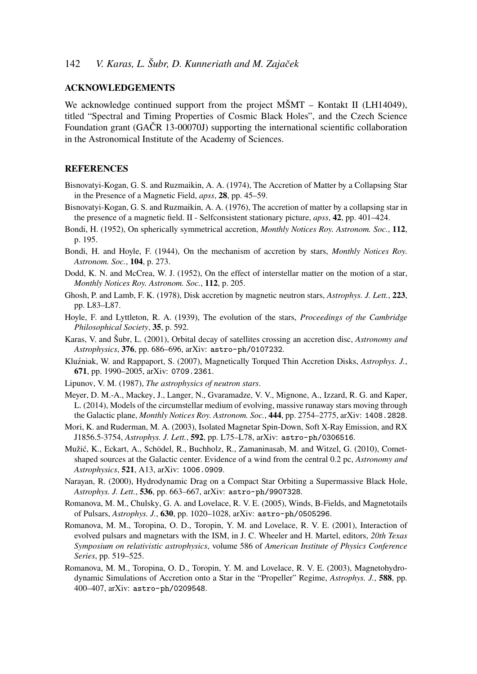# ACKNOWLEDGEMENTS

We acknowledge continued support from the project MSMT – Kontakt II (LH14049), titled "Spectral and Timing Properties of Cosmic Black Holes", and the Czech Science Foundation grant (GAČR 13-00070J) supporting the international scientific collaboration in the Astronomical Institute of the Academy of Sciences.

# **REFERENCES**

- Bisnovatyi-Kogan, G. S. and Ruzmaikin, A. A. (1974), The Accretion of Matter by a Collapsing Star in the Presence of a Magnetic Field, *apss*, 28, pp. 45–59.
- Bisnovatyi-Kogan, G. S. and Ruzmaikin, A. A. (1976), The accretion of matter by a collapsing star in the presence of a magnetic field. II - Selfconsistent stationary picture, *apss*, 42, pp. 401–424.
- Bondi, H. (1952), On spherically symmetrical accretion, *Monthly Notices Roy. Astronom. Soc.*, 112, p. 195.
- Bondi, H. and Hoyle, F. (1944), On the mechanism of accretion by stars, *Monthly Notices Roy. Astronom. Soc.*, 104, p. 273.
- Dodd, K. N. and McCrea, W. J. (1952), On the effect of interstellar matter on the motion of a star, *Monthly Notices Roy. Astronom. Soc.*, 112, p. 205.
- Ghosh, P. and Lamb, F. K. (1978), Disk accretion by magnetic neutron stars, *Astrophys. J. Lett.*, 223, pp. L83–L87.
- Hoyle, F. and Lyttleton, R. A. (1939), The evolution of the stars, *Proceedings of the Cambridge Philosophical Society*, 35, p. 592.
- Karas, V. and Šubr, L. (2001), Orbital decay of satellites crossing an accretion disc, *Astronomy and Astrophysics*, 376, pp. 686–696, arXiv: astro-ph/0107232.
- Kluźniak, W. and Rappaport, S. (2007), Magnetically Torqued Thin Accretion Disks, Astrophys. J., 671, pp. 1990–2005, arXiv: 0709.2361.
- Lipunov, V. M. (1987), *The astrophysics of neutron stars*.
- Meyer, D. M.-A., Mackey, J., Langer, N., Gvaramadze, V. V., Mignone, A., Izzard, R. G. and Kaper, L. (2014), Models of the circumstellar medium of evolving, massive runaway stars moving through the Galactic plane, *Monthly Notices Roy. Astronom. Soc.*, 444, pp. 2754–2775, arXiv: 1408.2828.
- Mori, K. and Ruderman, M. A. (2003), Isolated Magnetar Spin-Down, Soft X-Ray Emission, and RX J1856.5-3754, *Astrophys. J. Lett.*, 592, pp. L75–L78, arXiv: astro-ph/0306516.
- Mužic, K., Eckart, A., Schödel, R., Buchholz, R., Zamaninasab, M. and Witzel, G. (2010), Comet- ´ shaped sources at the Galactic center. Evidence of a wind from the central 0.2 pc, *Astronomy and Astrophysics*, 521, A13, arXiv: 1006.0909.
- Narayan, R. (2000), Hydrodynamic Drag on a Compact Star Orbiting a Supermassive Black Hole, *Astrophys. J. Lett.*, 536, pp. 663–667, arXiv: astro-ph/9907328.
- Romanova, M. M., Chulsky, G. A. and Lovelace, R. V. E. (2005), Winds, B-Fields, and Magnetotails of Pulsars, *Astrophys. J.*, 630, pp. 1020–1028, arXiv: astro-ph/0505296.
- Romanova, M. M., Toropina, O. D., Toropin, Y. M. and Lovelace, R. V. E. (2001), Interaction of evolved pulsars and magnetars with the ISM, in J. C. Wheeler and H. Martel, editors, *20th Texas Symposium on relativistic astrophysics*, volume 586 of *American Institute of Physics Conference Series*, pp. 519–525.
- Romanova, M. M., Toropina, O. D., Toropin, Y. M. and Lovelace, R. V. E. (2003), Magnetohydrodynamic Simulations of Accretion onto a Star in the "Propeller" Regime, *Astrophys. J.*, 588, pp. 400–407, arXiv: astro-ph/0209548.